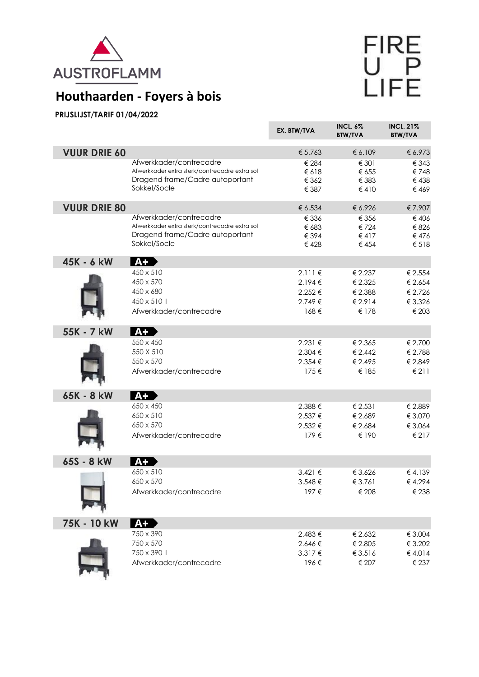

## FIRE<br>UPP<br>LIFE

## **Houthaarden - Foyers à bois**

## **PRIJSLIJST/TARIF 01/04/2022**

|                     |                                                                                                                             | EX. BTW/TVA                                       | <b>INCL. 6%</b><br><b>BTW/TVA</b>                 | <b>INCL. 21%</b><br><b>BTW/TVA</b>                |
|---------------------|-----------------------------------------------------------------------------------------------------------------------------|---------------------------------------------------|---------------------------------------------------|---------------------------------------------------|
| <b>VUUR DRIE 60</b> |                                                                                                                             | € 5.763                                           | € 6.109                                           | € 6.973                                           |
|                     | Afwerkkader/contrecadre<br>Afwerkkader extra sterk/contrecadre extra sol<br>Dragend frame/Cadre autoportant<br>Sokkel/Socle | € 284<br>€618<br>€ 362<br>€ 387                   | € 301<br>€ 655<br>€ 383<br>€410                   | € 343<br>€748<br>€ 438<br>€469                    |
| <b>VUUR DRIE 80</b> |                                                                                                                             | € 6.534                                           | € 6.926                                           | €7.907                                            |
|                     | Afwerkkader/contrecadre<br>Afwerkkader extra sterk/contrecadre extra sol<br>Dragend frame/Cadre autoportant<br>Sokkel/Socle | € 336<br>€ 683<br>€ 394<br>€428                   | € 356<br>€724<br>€417<br>€ 454                    | €406<br>€ 826<br>€ 476<br>€ 518                   |
| 45K - 6 kW          | $A+$                                                                                                                        |                                                   |                                                   |                                                   |
|                     | 450 x 510<br>450 x 570<br>450 x 680<br>450 x 510 II<br>Afwerkkader/contrecadre                                              | $2.111 \in$<br>2.194€<br>2.252€<br>2.749€<br>168€ | € 2.237<br>€ 2.325<br>€ 2.388<br>€ 2.914<br>€ 178 | € 2.554<br>€ 2.654<br>€ 2.726<br>€ 3.326<br>€ 203 |
| 55K - 7 kW          | <b>A+</b>                                                                                                                   |                                                   |                                                   |                                                   |
|                     | 550 x 450<br>550 X 510<br>550 x 570<br>Afwerkkader/contrecadre                                                              | 2.231€<br>2.304 €<br>2.354 €<br>175€              | € 2.365<br>€ 2.442<br>€ 2.495<br>€ 185            | € 2.700<br>€ 2.788<br>€ 2.849<br>€ 211            |
| 65K - 8 kW          | $A+$                                                                                                                        |                                                   |                                                   |                                                   |
|                     | 650 x 450<br>650 x 510<br>650 x 570<br>Afwerkkader/contrecadre                                                              | 2.388€<br>2.537 €<br>2.532€<br>179€               | € 2.531<br>€ 2.689<br>€ 2.684<br>€ 190            | € 2.889<br>€ 3.070<br>€ 3.064<br>€ 217            |
| 65S - 8 kW          | $A+$                                                                                                                        |                                                   |                                                   |                                                   |
|                     | 650 x 510<br>650 x 570<br>Afwerkkader/contrecadre                                                                           | 3.421 €<br>3.548€<br>197€                         | € 3.626<br>€ 3.761<br>€ 208                       | €4.139<br>€4.294<br>€ 238                         |
| 75K - 10 kW         | $A+$                                                                                                                        |                                                   |                                                   |                                                   |
|                     | 750 x 390<br>750 x 570<br>750 x 390 II<br>Afwerkkader/contrecadre                                                           | 2.483€<br>2.646€<br>3.317€<br>196€                | € 2.632<br>€ 2.805<br>€ 3.516<br>€ 207            | € 3.004<br>€ 3.202<br>€4.014<br>€ 237             |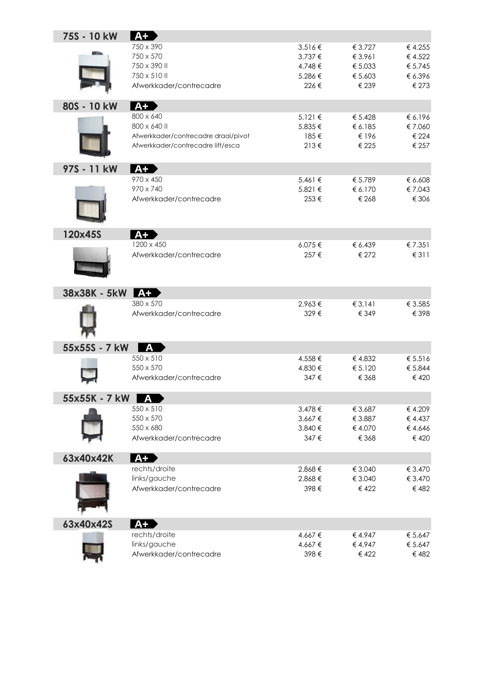| 75S - 10 kW     | $A+$                                                                     |             |                    |                   |
|-----------------|--------------------------------------------------------------------------|-------------|--------------------|-------------------|
|                 | 750 x 390                                                                | 3.516€      | € 3.727            | € 4.255           |
|                 | 750 x 570                                                                | $3.737 \in$ | € 3.961            | €4.522            |
|                 | 750 x 390 II                                                             | 4.748€      | € 5.033            | € 5.745           |
|                 | 750 x 510 II                                                             | 5.286€      | € 5.603            | € 6.396           |
|                 | Afwerkkader/contrecadre                                                  | 226€        | € 239              | € 273             |
|                 |                                                                          |             |                    |                   |
| 80S - 10 kW     | 800 x 640                                                                | 5.121 €     |                    |                   |
|                 | 800 x 640 II                                                             | 5.835€      | € 5.428<br>€ 6.185 | € 6.196<br>€7.060 |
|                 |                                                                          | 185€        | € 196              | € 224             |
|                 | Afwerkkader/contrecadre draai/pivot<br>Afwerkkader/contrecadre lift/esca | $213 \in$   | € 225              | € 257             |
|                 |                                                                          |             |                    |                   |
| 97S - 11 kW     | $A+$                                                                     |             |                    |                   |
|                 | 970 x 450                                                                | 5.461 €     | € 5.789            | € 6.608           |
|                 | 970 x 740                                                                | 5.821 €     | € 6.170            | €7.043            |
|                 | Afwerkkader/contrecadre                                                  | 253€        | € 268              | € 306             |
|                 |                                                                          |             |                    |                   |
|                 |                                                                          |             |                    |                   |
| 120x45S         | $A+$                                                                     |             |                    |                   |
|                 | 1200 x 450                                                               | 6.075€      | € 6.439            | € 7.351           |
|                 | Afwerkkader/contrecadre                                                  | 257€        | € 272              | €311              |
|                 |                                                                          |             |                    |                   |
|                 |                                                                          |             |                    |                   |
| 38x38K - 5kW A+ |                                                                          |             |                    |                   |
|                 | 380 x 570                                                                | 2.963€      | € 3.141            | € 3.585           |
|                 | Afwerkkader/contrecadre                                                  | 329€        | € 349              | € 398             |
|                 |                                                                          |             |                    |                   |
|                 |                                                                          |             |                    |                   |
| 55x55S - 7 kW   | A                                                                        |             |                    |                   |
|                 | 550 x 510                                                                | 4.558€      | €4.832             | € 5.516           |
|                 | 550 x 570                                                                | 4.830 €     | € 5.120            | € 5.844           |
|                 | Afwerkkader/contrecadre                                                  | 347€        | € 368              | € 420             |
|                 |                                                                          |             |                    |                   |
| 55x55K - 7 kW A |                                                                          |             |                    |                   |
|                 | 550 x 510                                                                | 3.478€      | € 3.687            | € 4.209           |
|                 | 550 x 570                                                                | 3.667€      | € 3.887            | € 4.437           |
|                 | 550 x 680                                                                | 3.840 €     | € 4.070            | €4.646            |
|                 | Afwerkkader/contrecadre                                                  | 347€        | € 368              | € 420             |
| 63x40x42K       | <b>A+</b>                                                                |             |                    |                   |
|                 | rechts/droite                                                            | 2.868€      | € 3.040            | € 3.470           |
|                 | links/gauche                                                             | 2.868€      | € 3.040            | € 3.470           |
|                 | Afwerkkader/contrecadre                                                  | 398€        | € 422              | €482              |
|                 |                                                                          |             |                    |                   |
|                 |                                                                          |             |                    |                   |
| 63x40x42S       | $A+$                                                                     |             |                    |                   |
|                 | rechts/droite                                                            | 4.667€      | €4.947             | € 5.647           |
|                 | links/gauche                                                             | 4.667€      | €4.947             | € 5.647           |
|                 | Afwerkkader/contrecadre                                                  | 398€        | €422               | €482              |
|                 |                                                                          |             |                    |                   |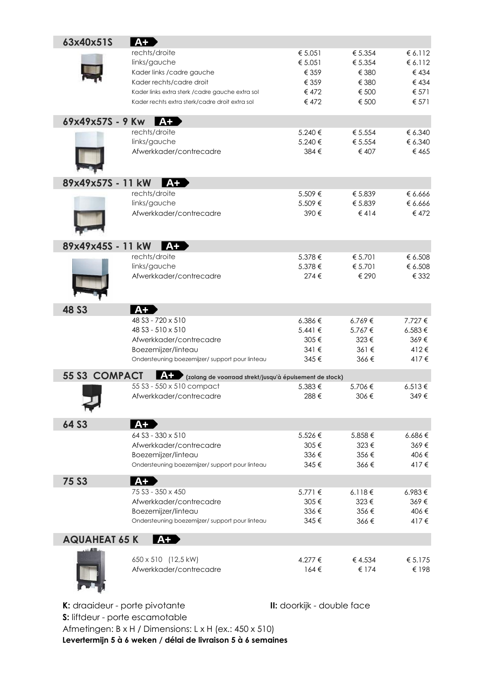| 63x40x51S            | $A+$                                                          |             |            |             |
|----------------------|---------------------------------------------------------------|-------------|------------|-------------|
|                      | rechts/droite                                                 | € 5.051     | € 5.354    | € 6.112     |
|                      | links/gauche                                                  | € 5.051     | € 5.354    | € 6.112     |
|                      | Kader links / cadre gauche                                    | € 359       | € 380      | €434        |
|                      | Kader rechts/cadre droit                                      | € 359       | € 380      | €434        |
|                      | Kader links extra sterk / cadre gauche extra sol              | € 472       | € 500      | € 571       |
|                      | Kader rechts extra sterk/cadre droit extra sol                | € 472       | € 500      | € 571       |
| 69x49x57S - 9 Kw     | $A+$                                                          |             |            |             |
|                      | rechts/droite                                                 | 5.240 €     | € 5.554    | € 6.340     |
|                      | links/gauche                                                  | 5.240€      | € 5.554    | € 6.340     |
|                      | Afwerkkader/contrecadre                                       | 384 €       | € 407      | €465        |
| 89x49x57S - 11 kW    | $A+$                                                          |             |            |             |
|                      | rechts/droite                                                 | 5.509€      | € 5.839    | € 6.666     |
|                      | links/gauche                                                  | 5.509€      | € 5.839    | € 6.666     |
|                      | Afwerkkader/contrecadre                                       | 390€        | $\leq 414$ | €472        |
| 89x49x45S - 11 kW    | $A+$                                                          |             |            |             |
|                      | rechts/droite                                                 | 5.378 €     | € 5.701    | € 6.508     |
|                      | links/gauche                                                  | 5.378€      | € 5.701    | € 6.508     |
|                      | Afwerkkader/contrecadre                                       | 274€        | € 290      | € 332       |
| <b>48 S3</b>         | $A+$                                                          |             |            |             |
|                      | 48 S3 - 720 x 510                                             | 6.386€      | 6.769€     | 7.727 €     |
|                      | 48 S3 - 510 x 510                                             | $5.441 \in$ | 5.767€     | 6.583€      |
|                      | Afwerkkader/contrecadre                                       | 305€        | 323€       | 369€        |
|                      | Boezemijzer/linteau                                           | 341 €       | 361€       | 412€        |
|                      | Ondersteuning boezemijzer/ support pour linteau               | 345€        | 366€       | 417€        |
| <b>55 S3 COMPACT</b> | A+<br>(zolang de voorraad strekt/jusqu'à épuisement de stock) |             |            |             |
|                      | 55 S3 - 550 x 510 compact                                     | 5.383€      | 5.706€     | 6.513€      |
|                      | Afwerkkader/contrecadre                                       | 288€        | 306€       | 349€        |
| 64 S3                | $A+$                                                          |             |            |             |
|                      | 64 S3 - 330 x 510                                             | 5.526€      | 5.858€     | $6.686 \in$ |
|                      | Afwerkkader/contrecadre                                       | 305€        | 323€       | 369€        |
|                      | Boezemijzer/linteau                                           | 336€        | 356€       | 406€        |
|                      | Ondersteuning boezemijzer/support pour linteau                | 345€        | 366€       | 417€        |
| <b>75 S3</b>         | $A+$                                                          |             |            |             |
|                      | 75 S3 - 350 x 450                                             | $5.771 \in$ | 6.118€     | 6.983€      |
|                      | Afwerkkader/contrecadre                                       | 305€        | 323€       | 369€        |
|                      | Boezemijzer/linteau                                           | 336€        | 356€       | 406€        |
|                      | Ondersteuning boezemijzer/ support pour linteau               | 345€        | 366€       | 417€        |
| <b>AQUAHEAT 65 K</b> | A+                                                            |             |            |             |
|                      | 650 x 510 (12,5 kW)                                           | 4.277 €     | €4.534     | € $5.175$   |
|                      | Afwerkkader/contrecadre                                       | $164 \in$   | € 174      | € 198       |

K: draaideur - porte pivotante **II:** doorkijk - double face

**S:** liftdeur - porte escamotable Afmetingen: B x H / Dimensions: L x H (ex.: 450 x 510) **Levertermijn 5 à 6 weken / délai de livraison 5 à 6 semaines**